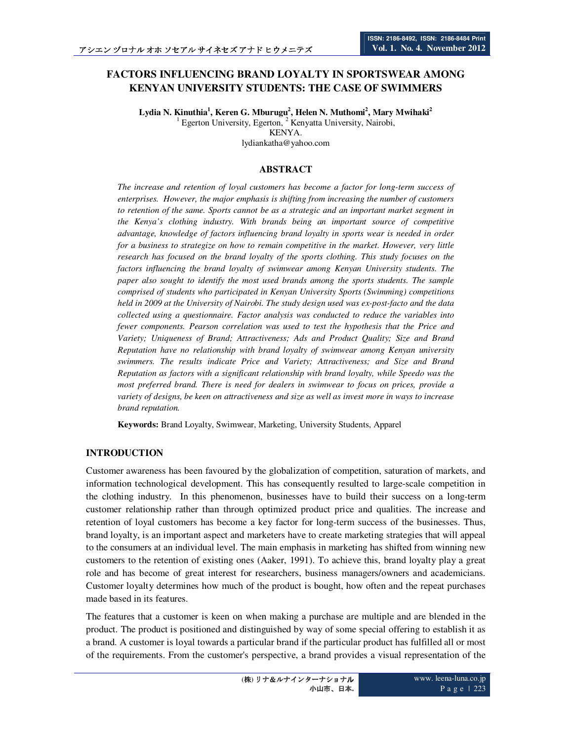# **FACTORS INFLUENCING BRAND LOYALTY IN SPORTSWEAR AMONG KENYAN UNIVERSITY STUDENTS: THE CASE OF SWIMMERS**

**Lydia N. Kinuthia<sup>1</sup> , Keren G. Mburugu<sup>2</sup> , Helen N. Muthomi<sup>2</sup> , Mary Mwihaki<sup>2</sup>** <sup>1</sup> Egerton University, Egerton, <sup>2</sup> Kenyatta University, Nairobi, KENYA.

lydiankatha@yahoo.com

# **ABSTRACT**

*The increase and retention of loyal customers has become a factor for long-term success of enterprises. However, the major emphasis is shifting from increasing the number of customers to retention of the same. Sports cannot be as a strategic and an important market segment in the Kenya's clothing industry. With brands being an important source of competitive advantage, knowledge of factors influencing brand loyalty in sports wear is needed in order for a business to strategize on how to remain competitive in the market. However, very little research has focused on the brand loyalty of the sports clothing. This study focuses on the factors influencing the brand loyalty of swimwear among Kenyan University students. The paper also sought to identify the most used brands among the sports students. The sample comprised of students who participated in Kenyan University Sports (Swimming) competitions held in 2009 at the University of Nairobi. The study design used was ex-post-facto and the data collected using a questionnaire. Factor analysis was conducted to reduce the variables into fewer components. Pearson correlation was used to test the hypothesis that the Price and Variety; Uniqueness of Brand; Attractiveness; Ads and Product Quality; Size and Brand Reputation have no relationship with brand loyalty of swimwear among Kenyan university swimmers. The results indicate Price and Variety; Attractiveness; and Size and Brand Reputation as factors with a significant relationship with brand loyalty, while Speedo was the most preferred brand. There is need for dealers in swimwear to focus on prices, provide a variety of designs, be keen on attractiveness and size as well as invest more in ways to increase brand reputation.* 

**Keywords:** Brand Loyalty, Swimwear, Marketing, University Students, Apparel

# **INTRODUCTION**

Customer awareness has been favoured by the globalization of competition, saturation of markets, and information technological development. This has consequently resulted to large-scale competition in the clothing industry. In this phenomenon, businesses have to build their success on a long-term customer relationship rather than through optimized product price and qualities. The increase and retention of loyal customers has become a key factor for long-term success of the businesses. Thus, brand loyalty, is an important aspect and marketers have to create marketing strategies that will appeal to the consumers at an individual level. The main emphasis in marketing has shifted from winning new customers to the retention of existing ones (Aaker, 1991). To achieve this, brand loyalty play a great role and has become of great interest for researchers, business managers/owners and academicians. Customer loyalty determines how much of the product is bought, how often and the repeat purchases made based in its features.

The features that a customer is keen on when making a purchase are multiple and are blended in the product. The product is positioned and distinguished by way of some special offering to establish it as a brand. A customer is loyal towards a particular brand if the particular product has fulfilled all or most of the requirements. From the customer's perspective, a brand provides a visual representation of the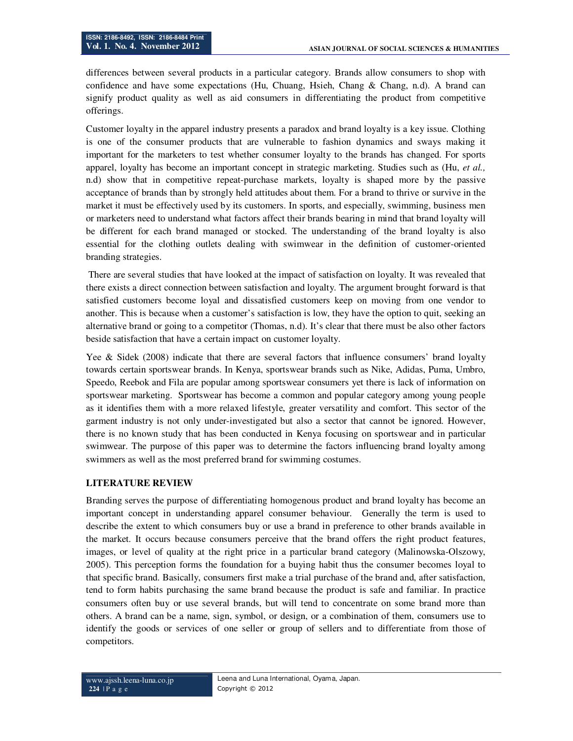differences between several products in a particular category. Brands allow consumers to shop with confidence and have some expectations (Hu, Chuang, Hsieh, Chang & Chang, n.d). A brand can signify product quality as well as aid consumers in differentiating the product from competitive offerings.

Customer loyalty in the apparel industry presents a paradox and brand loyalty is a key issue. Clothing is one of the consumer products that are vulnerable to fashion dynamics and sways making it important for the marketers to test whether consumer loyalty to the brands has changed. For sports apparel, loyalty has become an important concept in strategic marketing. Studies such as (Hu, *et al.,* n.d) show that in competitive repeat-purchase markets, loyalty is shaped more by the passive acceptance of brands than by strongly held attitudes about them. For a brand to thrive or survive in the market it must be effectively used by its customers. In sports, and especially, swimming, business men or marketers need to understand what factors affect their brands bearing in mind that brand loyalty will be different for each brand managed or stocked. The understanding of the brand loyalty is also essential for the clothing outlets dealing with swimwear in the definition of customer-oriented branding strategies.

There are several studies that have looked at the impact of satisfaction on loyalty. It was revealed that there exists a direct connection between satisfaction and loyalty. The argument brought forward is that satisfied customers become loyal and dissatisfied customers keep on moving from one vendor to another. This is because when a customer's satisfaction is low, they have the option to quit, seeking an alternative brand or going to a competitor (Thomas, n.d). It's clear that there must be also other factors beside satisfaction that have a certain impact on customer loyalty.

Yee & Sidek (2008) indicate that there are several factors that influence consumers' brand loyalty towards certain sportswear brands. In Kenya, sportswear brands such as Nike, Adidas, Puma, Umbro, Speedo, Reebok and Fila are popular among sportswear consumers yet there is lack of information on sportswear marketing. Sportswear has become a common and popular category among young people as it identifies them with a more relaxed lifestyle, greater versatility and comfort. This sector of the garment industry is not only under-investigated but also a sector that cannot be ignored. However, there is no known study that has been conducted in Kenya focusing on sportswear and in particular swimwear. The purpose of this paper was to determine the factors influencing brand loyalty among swimmers as well as the most preferred brand for swimming costumes.

# **LITERATURE REVIEW**

Branding serves the purpose of differentiating homogenous product and brand loyalty has become an important concept in understanding apparel consumer behaviour. Generally the term is used to describe the extent to which consumers buy or use a brand in preference to other brands available in the market. It occurs because consumers perceive that the brand offers the right product features, images, or level of quality at the right price in a particular brand category (Malinowska-Olszowy, 2005). This perception forms the foundation for a buying habit thus the consumer becomes loyal to that specific brand. Basically, consumers first make a trial purchase of the brand and, after satisfaction, tend to form habits purchasing the same brand because the product is safe and familiar. In practice consumers often buy or use several brands, but will tend to concentrate on some brand more than others. A brand can be a name, sign, symbol, or design, or a combination of them, consumers use to identify the goods or services of one seller or group of sellers and to differentiate from those of competitors.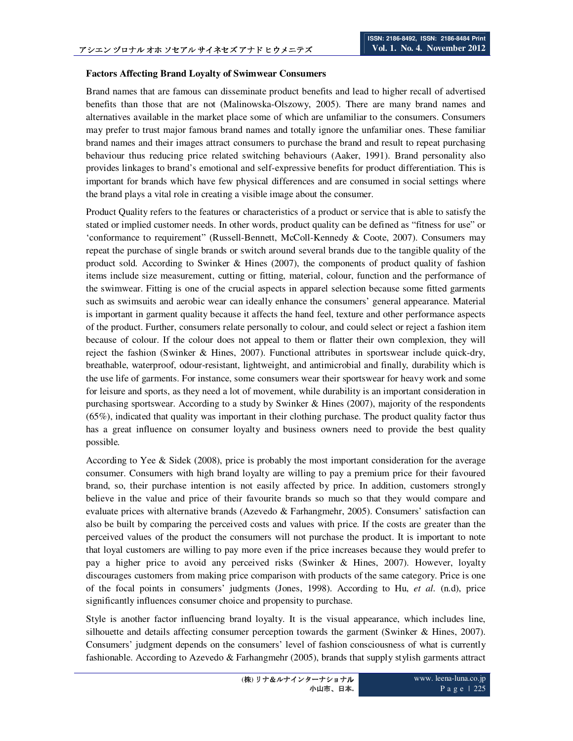# **Factors Affecting Brand Loyalty of Swimwear Consumers**

Brand names that are famous can disseminate product benefits and lead to higher recall of advertised benefits than those that are not (Malinowska-Olszowy, 2005). There are many brand names and alternatives available in the market place some of which are unfamiliar to the consumers. Consumers may prefer to trust major famous brand names and totally ignore the unfamiliar ones. These familiar brand names and their images attract consumers to purchase the brand and result to repeat purchasing behaviour thus reducing price related switching behaviours (Aaker, 1991). Brand personality also provides linkages to brand's emotional and self-expressive benefits for product differentiation. This is important for brands which have few physical differences and are consumed in social settings where the brand plays a vital role in creating a visible image about the consumer.

Product Quality refers to the features or characteristics of a product or service that is able to satisfy the stated or implied customer needs. In other words, product quality can be defined as "fitness for use" or 'conformance to requirement" (Russell-Bennett, McColl-Kennedy & Coote, 2007). Consumers may repeat the purchase of single brands or switch around several brands due to the tangible quality of the product sold. According to Swinker & Hines (2007), the components of product quality of fashion items include size measurement, cutting or fitting, material, colour, function and the performance of the swimwear. Fitting is one of the crucial aspects in apparel selection because some fitted garments such as swimsuits and aerobic wear can ideally enhance the consumers' general appearance. Material is important in garment quality because it affects the hand feel, texture and other performance aspects of the product. Further, consumers relate personally to colour, and could select or reject a fashion item because of colour. If the colour does not appeal to them or flatter their own complexion, they will reject the fashion (Swinker & Hines, 2007). Functional attributes in sportswear include quick-dry, breathable, waterproof, odour-resistant, lightweight, and antimicrobial and finally, durability which is the use life of garments. For instance, some consumers wear their sportswear for heavy work and some for leisure and sports, as they need a lot of movement, while durability is an important consideration in purchasing sportswear. According to a study by Swinker & Hines (2007), majority of the respondents (65%), indicated that quality was important in their clothing purchase. The product quality factor thus has a great influence on consumer loyalty and business owners need to provide the best quality possible.

According to Yee & Sidek (2008), price is probably the most important consideration for the average consumer. Consumers with high brand loyalty are willing to pay a premium price for their favoured brand, so, their purchase intention is not easily affected by price. In addition, customers strongly believe in the value and price of their favourite brands so much so that they would compare and evaluate prices with alternative brands (Azevedo  $\&$  Farhangmehr, 2005). Consumers' satisfaction can also be built by comparing the perceived costs and values with price. If the costs are greater than the perceived values of the product the consumers will not purchase the product. It is important to note that loyal customers are willing to pay more even if the price increases because they would prefer to pay a higher price to avoid any perceived risks (Swinker & Hines, 2007). However, loyalty discourages customers from making price comparison with products of the same category. Price is one of the focal points in consumers' judgments (Jones, 1998). According to Hu, *et al.* (n.d), price significantly influences consumer choice and propensity to purchase.

Style is another factor influencing brand loyalty. It is the visual appearance, which includes line, silhouette and details affecting consumer perception towards the garment (Swinker & Hines, 2007). Consumers' judgment depends on the consumers' level of fashion consciousness of what is currently fashionable. According to Azevedo & Farhangmehr (2005), brands that supply stylish garments attract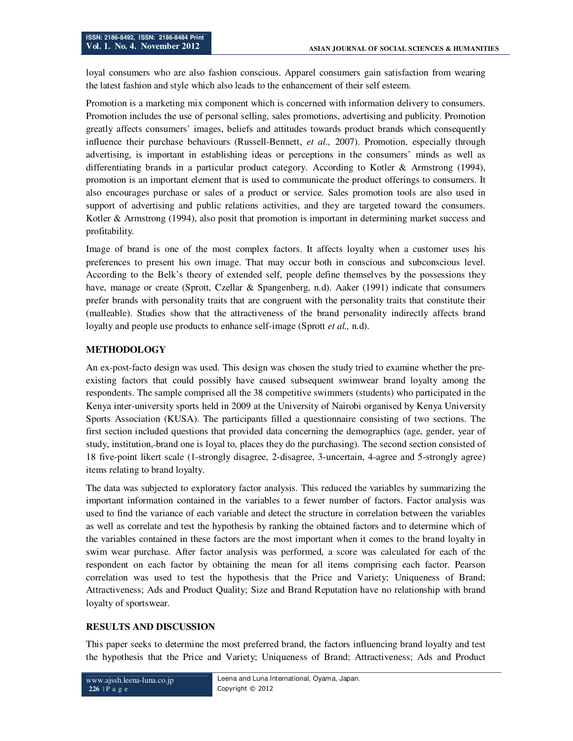loyal consumers who are also fashion conscious. Apparel consumers gain satisfaction from wearing the latest fashion and style which also leads to the enhancement of their self esteem.

Promotion is a marketing mix component which is concerned with information delivery to consumers. Promotion includes the use of personal selling, sales promotions, advertising and publicity. Promotion greatly affects consumers' images, beliefs and attitudes towards product brands which consequently influence their purchase behaviours (Russell-Bennett, *et al.,* 2007). Promotion, especially through advertising, is important in establishing ideas or perceptions in the consumers' minds as well as differentiating brands in a particular product category. According to Kotler & Armstrong (1994), promotion is an important element that is used to communicate the product offerings to consumers. It also encourages purchase or sales of a product or service. Sales promotion tools are also used in support of advertising and public relations activities, and they are targeted toward the consumers. Kotler & Armstrong (1994), also posit that promotion is important in determining market success and profitability.

Image of brand is one of the most complex factors. It affects loyalty when a customer uses his preferences to present his own image. That may occur both in conscious and subconscious level. According to the Belk's theory of extended self, people define themselves by the possessions they have, manage or create (Sprott, Czellar & Spangenberg, n.d). Aaker (1991) indicate that consumers prefer brands with personality traits that are congruent with the personality traits that constitute their (malleable). Studies show that the attractiveness of the brand personality indirectly affects brand loyalty and people use products to enhance self-image (Sprott *et al.,* n.d).

# **METHODOLOGY**

An ex-post-facto design was used. This design was chosen the study tried to examine whether the preexisting factors that could possibly have caused subsequent swimwear brand loyalty among the respondents. The sample comprised all the 38 competitive swimmers (students) who participated in the Kenya inter-university sports held in 2009 at the University of Nairobi organised by Kenya University Sports Association (KUSA). The participants filled a questionnaire consisting of two sections. The first section included questions that provided data concerning the demographics (age, gender, year of study, institution, brand one is loyal to, places they do the purchasing). The second section consisted of 18 five-point likert scale (1-strongly disagree, 2-disagree, 3-uncertain, 4-agree and 5-strongly agree) items relating to brand loyalty.

The data was subjected to exploratory factor analysis. This reduced the variables by summarizing the important information contained in the variables to a fewer number of factors. Factor analysis was used to find the variance of each variable and detect the structure in correlation between the variables as well as correlate and test the hypothesis by ranking the obtained factors and to determine which of the variables contained in these factors are the most important when it comes to the brand loyalty in swim wear purchase. After factor analysis was performed, a score was calculated for each of the respondent on each factor by obtaining the mean for all items comprising each factor. Pearson correlation was used to test the hypothesis that the Price and Variety; Uniqueness of Brand; Attractiveness; Ads and Product Quality; Size and Brand Reputation have no relationship with brand loyalty of sportswear.

# **RESULTS AND DISCUSSION**

This paper seeks to determine the most preferred brand, the factors influencing brand loyalty and test the hypothesis that the Price and Variety; Uniqueness of Brand; Attractiveness; Ads and Product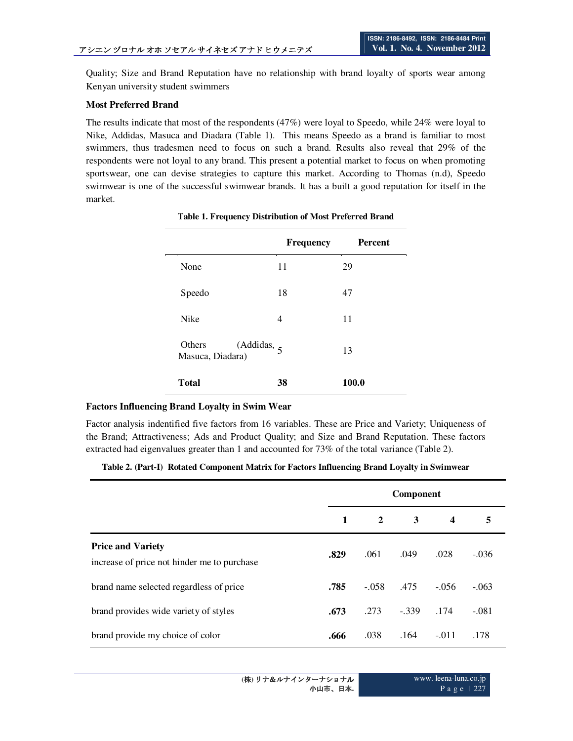Quality; Size and Brand Reputation have no relationship with brand loyalty of sports wear among Kenyan university student swimmers

### **Most Preferred Brand**

The results indicate that most of the respondents (47%) were loyal to Speedo, while 24% were loyal to Nike, Addidas, Masuca and Diadara (Table 1). This means Speedo as a brand is familiar to most swimmers, thus tradesmen need to focus on such a brand. Results also reveal that 29% of the respondents were not loyal to any brand. This present a potential market to focus on when promoting sportswear, one can devise strategies to capture this market. According to Thomas (n.d), Speedo swimwear is one of the successful swimwear brands. It has a built a good reputation for itself in the market.

|                                                       | Frequency | <b>Percent</b> |
|-------------------------------------------------------|-----------|----------------|
| None                                                  | 11        | 29             |
| Speedo                                                | 18        | 47             |
| <b>Nike</b>                                           | 4         | 11             |
| Others<br>(Addidas, $\frac{1}{5}$<br>Masuca, Diadara) |           | 13             |
| <b>Total</b>                                          | 38        | 100.0          |

#### **Table 1. Frequency Distribution of Most Preferred Brand**

 $\overline{\phantom{a}}$ 

# **Factors Influencing Brand Loyalty in Swim Wear**

Factor analysis indentified five factors from 16 variables. These are Price and Variety; Uniqueness of the Brand; Attractiveness; Ads and Product Quality; and Size and Brand Reputation. These factors extracted had eigenvalues greater than 1 and accounted for 73% of the total variance (Table 2).

# **Table 2. (Part-I) Rotated Component Matrix for Factors Influencing Brand Loyalty in Swimwear**

|                                                                         | Component    |                |         |                  |         |
|-------------------------------------------------------------------------|--------------|----------------|---------|------------------|---------|
|                                                                         | $\mathbf{1}$ | $\overline{2}$ | 3       | $\boldsymbol{4}$ | 5       |
| <b>Price and Variety</b><br>increase of price not hinder me to purchase | .829         | .061           | .049    | .028             | $-.036$ |
| brand name selected regardless of price                                 | .785         | $-.058$ $.475$ |         | $-.056$          | $-.063$ |
| brand provides wide variety of styles                                   | .673         | .273           | $-.339$ | .174             | $-.081$ |
| brand provide my choice of color                                        | .666         | .038           | .164    | $-.011$          | .178    |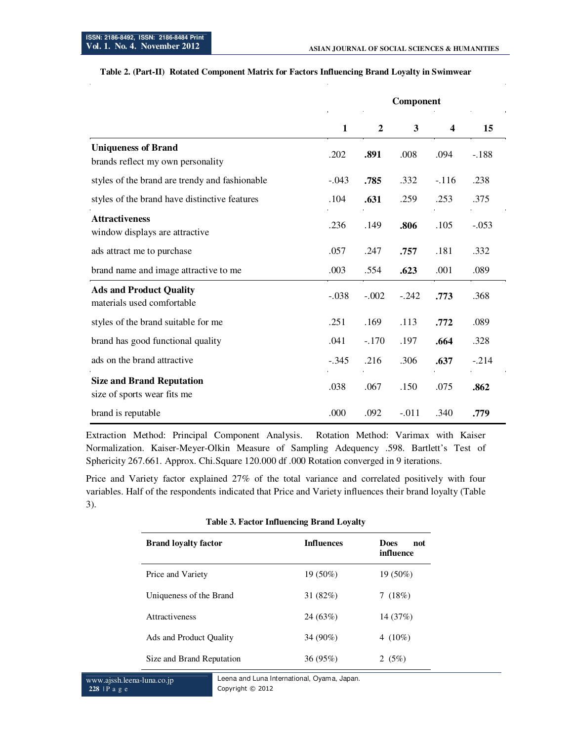|                                                                 | Component    |                  |         |                         |         |
|-----------------------------------------------------------------|--------------|------------------|---------|-------------------------|---------|
|                                                                 | $\mathbf{1}$ | $\boldsymbol{2}$ | 3       | $\overline{\mathbf{4}}$ | 15      |
| <b>Uniqueness of Brand</b><br>brands reflect my own personality | .202         | .891             | .008    | .094                    | $-.188$ |
| styles of the brand are trendy and fashionable                  | $-.043$      | .785             | .332    | $-.116$                 | .238    |
| styles of the brand have distinctive features                   | .104         | .631             | .259    | .253                    | .375    |
| <b>Attractiveness</b><br>window displays are attractive         | .236         | .149             | .806    | .105                    | $-.053$ |
| ads attract me to purchase                                      | .057         | .247             | .757    | .181                    | .332    |
| brand name and image attractive to me                           | .003         | .554             | .623    | .001                    | .089    |
| <b>Ads and Product Quality</b><br>materials used comfortable    | $-.038$      | $-.002$          | $-.242$ | .773                    | .368    |
| styles of the brand suitable for me                             | .251         | .169             | .113    | .772                    | .089    |
| brand has good functional quality                               | .041         | $-.170$          | .197    | .664                    | .328    |
| ads on the brand attractive                                     | $-.345$      | .216             | .306    | .637                    | $-.214$ |
| <b>Size and Brand Reputation</b><br>size of sports wear fits me | .038         | .067             | .150    | .075                    | .862    |
| brand is reputable                                              | .000         | .092             | $-.011$ | .340                    | .779    |

### **Table 2. (Part-II) Rotated Component Matrix for Factors Influencing Brand Loyalty in Swimwear**

Extraction Method: Principal Component Analysis. Rotation Method: Varimax with Kaiser Normalization. Kaiser-Meyer-Olkin Measure of Sampling Adequency .598. Bartlett's Test of Sphericity 267.661. Approx. Chi.Square 120.000 df .000 Rotation converged in 9 iterations.

Price and Variety factor explained 27% of the total variance and correlated positively with four variables. Half of the respondents indicated that Price and Variety influences their brand loyalty (Table 3).

| <b>Brand loyalty factor</b> | <b>Influences</b> | <b>Does</b><br>not<br>influence |
|-----------------------------|-------------------|---------------------------------|
| Price and Variety           | $19(50\%)$        | $19(50\%)$                      |
| Uniqueness of the Brand     | 31 $(82%)$        | 7(18%)                          |
| <b>Attractiveness</b>       | 24(63%)           | 14 (37%)                        |
| Ads and Product Quality     | 34 (90%)          | 4 $(10\%)$                      |
| Size and Brand Reputation   | 36(95%)           | 2 $(5%)$                        |

#### **Table 3. Factor Influencing Brand Loyalty**

www.ajssh.leena-luna.co.jp **228** | P a g e

Leena and Luna International, Oyama, Japan. Copyright © 2012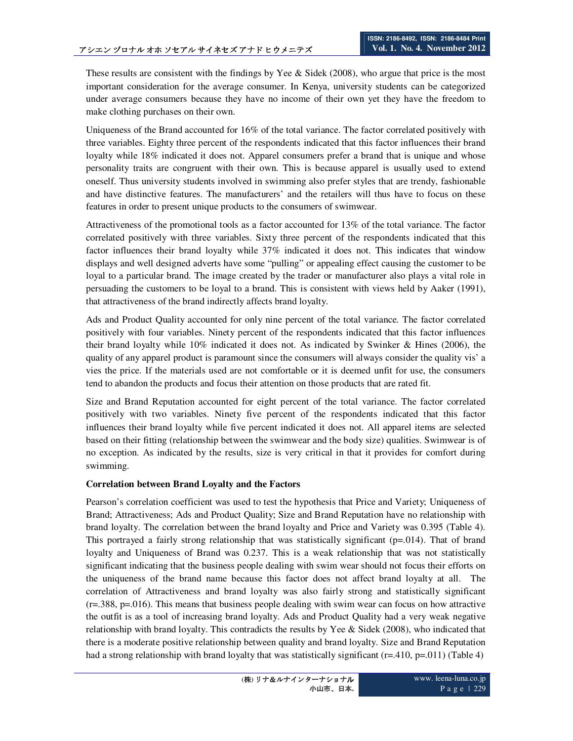These results are consistent with the findings by Yee & Sidek (2008), who argue that price is the most important consideration for the average consumer. In Kenya, university students can be categorized under average consumers because they have no income of their own yet they have the freedom to make clothing purchases on their own.

Uniqueness of the Brand accounted for 16% of the total variance. The factor correlated positively with three variables. Eighty three percent of the respondents indicated that this factor influences their brand loyalty while 18% indicated it does not. Apparel consumers prefer a brand that is unique and whose personality traits are congruent with their own. This is because apparel is usually used to extend oneself. Thus university students involved in swimming also prefer styles that are trendy, fashionable and have distinctive features. The manufacturers' and the retailers will thus have to focus on these features in order to present unique products to the consumers of swimwear.

Attractiveness of the promotional tools as a factor accounted for 13% of the total variance. The factor correlated positively with three variables. Sixty three percent of the respondents indicated that this factor influences their brand loyalty while 37% indicated it does not. This indicates that window displays and well designed adverts have some "pulling" or appealing effect causing the customer to be loyal to a particular brand. The image created by the trader or manufacturer also plays a vital role in persuading the customers to be loyal to a brand. This is consistent with views held by Aaker (1991), that attractiveness of the brand indirectly affects brand loyalty.

Ads and Product Quality accounted for only nine percent of the total variance. The factor correlated positively with four variables. Ninety percent of the respondents indicated that this factor influences their brand loyalty while 10% indicated it does not. As indicated by Swinker & Hines (2006), the quality of any apparel product is paramount since the consumers will always consider the quality vis' a vies the price. If the materials used are not comfortable or it is deemed unfit for use, the consumers tend to abandon the products and focus their attention on those products that are rated fit.

Size and Brand Reputation accounted for eight percent of the total variance. The factor correlated positively with two variables. Ninety five percent of the respondents indicated that this factor influences their brand loyalty while five percent indicated it does not. All apparel items are selected based on their fitting (relationship between the swimwear and the body size) qualities. Swimwear is of no exception. As indicated by the results, size is very critical in that it provides for comfort during swimming.

# **Correlation between Brand Loyalty and the Factors**

Pearson's correlation coefficient was used to test the hypothesis that Price and Variety; Uniqueness of Brand; Attractiveness; Ads and Product Quality; Size and Brand Reputation have no relationship with brand loyalty. The correlation between the brand loyalty and Price and Variety was 0.395 (Table 4). This portrayed a fairly strong relationship that was statistically significant  $(p=0.014)$ . That of brand loyalty and Uniqueness of Brand was 0.237. This is a weak relationship that was not statistically significant indicating that the business people dealing with swim wear should not focus their efforts on the uniqueness of the brand name because this factor does not affect brand loyalty at all. The correlation of Attractiveness and brand loyalty was also fairly strong and statistically significant  $(r=.388, p=.016)$ . This means that business people dealing with swim wear can focus on how attractive the outfit is as a tool of increasing brand loyalty. Ads and Product Quality had a very weak negative relationship with brand loyalty. This contradicts the results by Yee & Sidek (2008), who indicated that there is a moderate positive relationship between quality and brand loyalty. Size and Brand Reputation had a strong relationship with brand loyalty that was statistically significant (r=.410, p=.011) (Table 4)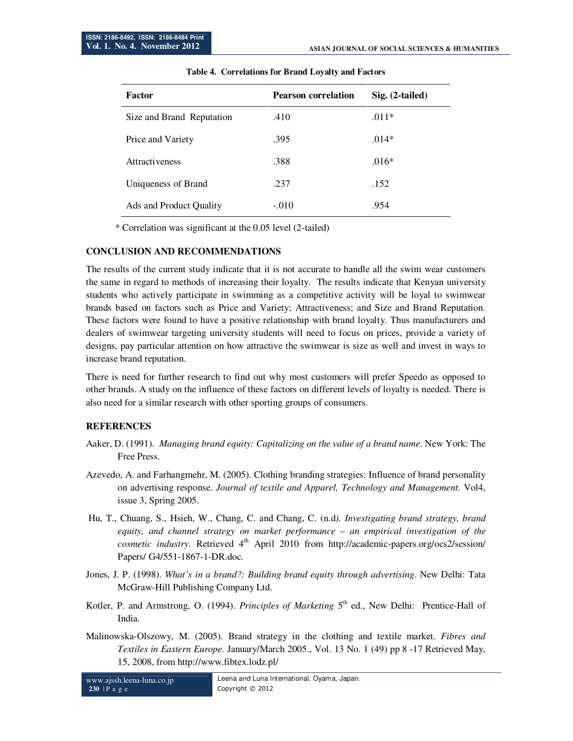| <b>Factor</b>             | <b>Pearson correlation</b> | $Sig. (2-tailed)$ |
|---------------------------|----------------------------|-------------------|
| Size and Brand Reputation | .410                       | $.011*$           |
| Price and Variety         | .395                       | $.014*$           |
| <b>Attractiveness</b>     | .388                       | $.016*$           |
| Uniqueness of Brand       | .237                       | .152              |
| Ads and Product Quality   | $-.010$                    | .954              |

\* Correlation was significant at the 0.05 level (2-tailed)

#### **CONCLUSION AND RECOMMENDATIONS**

The results of the current study indicate that it is not accurate to handle all the swim wear customers the same in regard to methods of increasing their loyalty. The results indicate that Kenyan university students who actively participate in swimming as a competitive activity will be loyal to swimwear brands based on factors such as Price and Variety; Attractiveness; and Size and Brand Reputation. These factors were found to have a positive relationship with brand loyalty. Thus manufacturers and dealers of swimwear targeting university students will need to focus on prices, provide a variety of designs, pay particular attention on how attractive the swimwear is size as well and invest in ways to increase brand reputation.

There is need for further research to find out why most customers will prefer Speedo as opposed to other brands. A study on the influence of these factors on different levels of loyalty is needed. There is also need for a similar research with other sporting groups of consumers.

#### **REFERENCES**

- Aaker, D. (1991). *Managing brand equity: Capitalizing on the value of a brand name*. New York: The Free Press.
- Azevedo, A. and Farhangmehr, M. (2005). Clothing branding strategies: Influence of brand personality on advertising response. *Journal of textile and Apparel, Technology and Management.* Vol4, issue 3, Spring 2005.
- Hu, T., Chuang, S., Hsieh, W., Chang, C. and Chang, C. (n.d*). Investigating brand strategy, brand equity, and channel strategy on market performance – an empirical investigation of the cosmetic industry.* Retrieved 4<sup>th</sup> April 2010 from http://academic-papers.org/ocs2/session/ Papers/ G4/551-1867-1-DR.doc.
- Jones, J. P. (1998). *What's in a brand?: Building brand equity through advertising*. New Delhi: Tata McGraw-Hill Publishing Company Ltd.
- Kotler, P. and Armstrong, O. (1994). *Principles of Marketing* 5<sup>th</sup> ed., New Delhi: Prentice-Hall of India.
- Malinowska-Olszowy, M. (2005). Brand strategy in the clothing and textile market. *Fibres and Textiles in Eastern Europe.* January/March 2005., Vol. 13 No. 1 (49) pp 8 -17 Retrieved May, 15, 2008, from http://www.fibtex.lodz.pl/

www.ajssh.leena-luna.co.jp **230** | P a g e